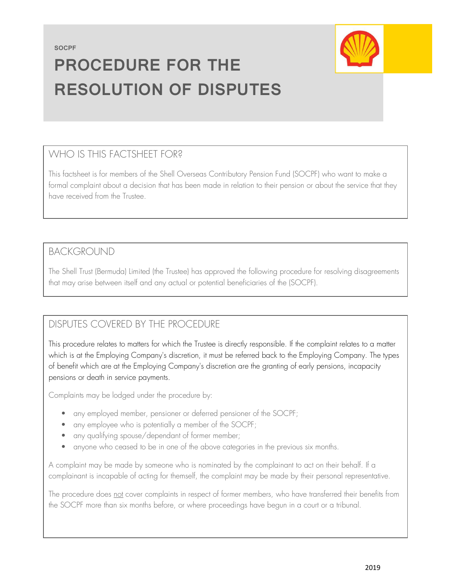SOCPF



# PROCEDURE FOR THE RESOLUTION OF DISPUTES

## WHO IS THIS FACTSHEET FOR?

This factsheet is for members of the Shell Overseas Contributory Pension Fund (SOCPF) who want to make a formal complaint about a decision that has been made in relation to their pension or about the service that they have received from the Trustee.

#### BACKGROUND

The Shell Trust (Bermuda) Limited (the Trustee) has approved the following procedure for resolving disagreements that may arise between itself and any actual or potential beneficiaries of the (SOCPF).

# DISPUTES COVERED BY THE PROCEDURE

This procedure relates to matters for which the Trustee is directly responsible. If the complaint relates to a matter which is at the Employing Company's discretion, it must be referred back to the Employing Company. The types of benefit which are at the Employing Company's discretion are the granting of early pensions, incapacity pensions or death in service payments.

Complaints may be lodged under the procedure by:

- any employed member, pensioner or deferred pensioner of the SOCPF;
- any employee who is potentially a member of the SOCPF;
- any qualifying spouse/dependant of former member;
- anyone who ceased to be in one of the above categories in the previous six months.

A complaint may be made by someone who is nominated by the complainant to act on their behalf. If a complainant is incapable of acting for themself, the complaint may be made by their personal representative.

The procedure does not cover complaints in respect of former members, who have transferred their benefits from the SOCPF more than six months before, or where proceedings have begun in a court or a tribunal.